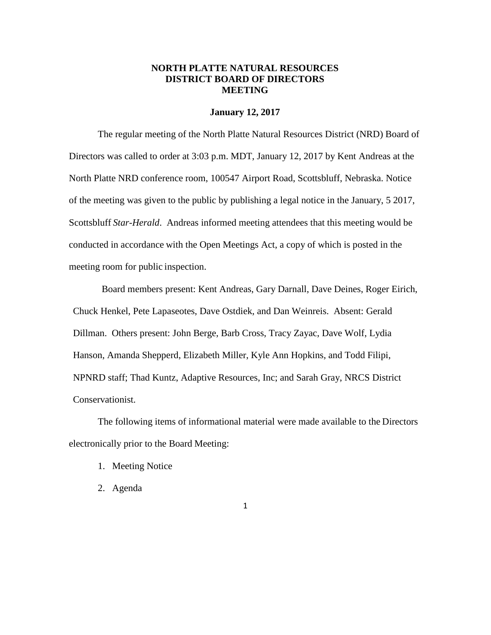## **NORTH PLATTE NATURAL RESOURCES DISTRICT BOARD OF DIRECTORS MEETING**

#### **January 12, 2017**

The regular meeting of the North Platte Natural Resources District (NRD) Board of Directors was called to order at 3:03 p.m. MDT, January 12, 2017 by Kent Andreas at the North Platte NRD conference room, 100547 Airport Road, Scottsbluff, Nebraska. Notice of the meeting was given to the public by publishing a legal notice in the January, 5 2017, Scottsbluff *Star-Herald*. Andreas informed meeting attendees that this meeting would be conducted in accordance with the Open Meetings Act, a copy of which is posted in the meeting room for public inspection.

Board members present: Kent Andreas, Gary Darnall, Dave Deines, Roger Eirich, Chuck Henkel, Pete Lapaseotes, Dave Ostdiek, and Dan Weinreis. Absent: Gerald Dillman. Others present: John Berge, Barb Cross, Tracy Zayac, Dave Wolf, Lydia Hanson, Amanda Shepperd, Elizabeth Miller, Kyle Ann Hopkins, and Todd Filipi, NPNRD staff; Thad Kuntz, Adaptive Resources, Inc; and Sarah Gray, NRCS District Conservationist.

The following items of informational material were made available to the Directors electronically prior to the Board Meeting:

- 1. Meeting Notice
- 2. Agenda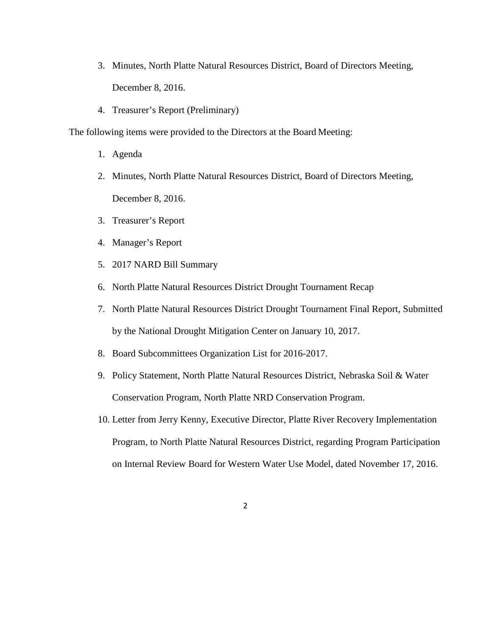- 3. Minutes, North Platte Natural Resources District, Board of Directors Meeting, December 8, 2016.
- 4. Treasurer's Report (Preliminary)

The following items were provided to the Directors at the Board Meeting:

- 1. Agenda
- 2. Minutes, North Platte Natural Resources District, Board of Directors Meeting, December 8, 2016.
- 3. Treasurer's Report
- 4. Manager's Report
- 5. 2017 NARD Bill Summary
- 6. North Platte Natural Resources District Drought Tournament Recap
- 7. North Platte Natural Resources District Drought Tournament Final Report, Submitted by the National Drought Mitigation Center on January 10, 2017.
- 8. Board Subcommittees Organization List for 2016-2017.
- 9. Policy Statement, North Platte Natural Resources District, Nebraska Soil & Water Conservation Program, North Platte NRD Conservation Program.
- 10. Letter from Jerry Kenny, Executive Director, Platte River Recovery Implementation Program, to North Platte Natural Resources District, regarding Program Participation on Internal Review Board for Western Water Use Model, dated November 17, 2016.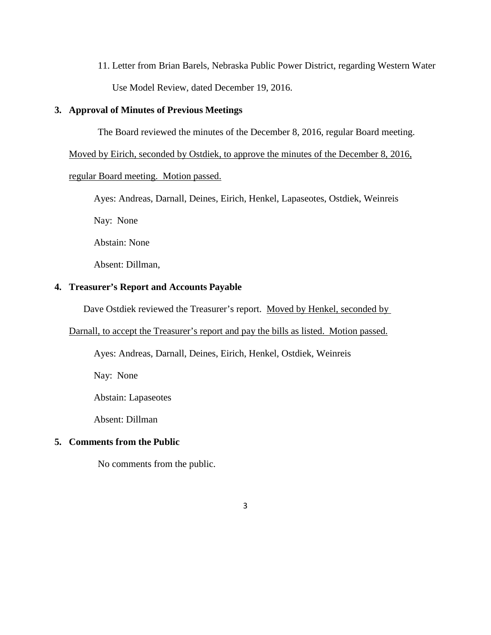11. Letter from Brian Barels, Nebraska Public Power District, regarding Western Water Use Model Review, dated December 19, 2016.

#### **3. Approval of Minutes of Previous Meetings**

The Board reviewed the minutes of the December 8, 2016, regular Board meeting.

Moved by Eirich, seconded by Ostdiek, to approve the minutes of the December 8, 2016,

#### regular Board meeting. Motion passed.

Ayes: Andreas, Darnall, Deines, Eirich, Henkel, Lapaseotes, Ostdiek, Weinreis

Nay: None

Abstain: None

Absent: Dillman,

## **4. Treasurer's Report and Accounts Payable**

Dave Ostdiek reviewed the Treasurer's report. Moved by Henkel, seconded by

#### Darnall, to accept the Treasurer's report and pay the bills as listed. Motion passed.

Ayes: Andreas, Darnall, Deines, Eirich, Henkel, Ostdiek, Weinreis

Nay: None

Abstain: Lapaseotes

Absent: Dillman

# **5. Comments from the Public**

No comments from the public.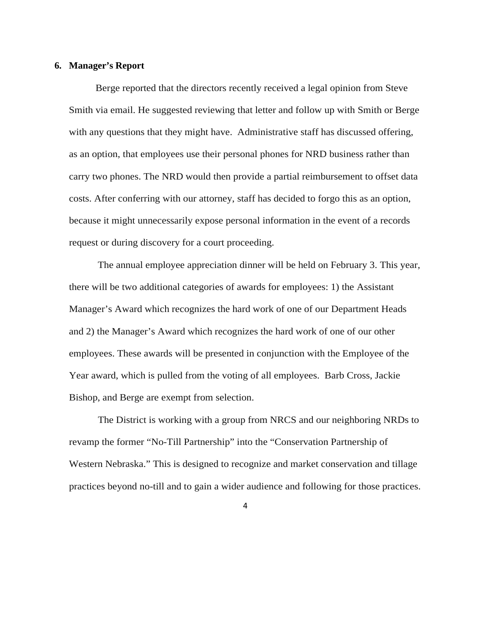#### **6. Manager's Report**

 Berge reported that the directors recently received a legal opinion from Steve Smith via email. He suggested reviewing that letter and follow up with Smith or Berge with any questions that they might have. Administrative staff has discussed offering, as an option, that employees use their personal phones for NRD business rather than carry two phones. The NRD would then provide a partial reimbursement to offset data costs. After conferring with our attorney, staff has decided to forgo this as an option, because it might unnecessarily expose personal information in the event of a records request or during discovery for a court proceeding.

The annual employee appreciation dinner will be held on February 3. This year, there will be two additional categories of awards for employees: 1) the Assistant Manager's Award which recognizes the hard work of one of our Department Heads and 2) the Manager's Award which recognizes the hard work of one of our other employees. These awards will be presented in conjunction with the Employee of the Year award, which is pulled from the voting of all employees. Barb Cross, Jackie Bishop, and Berge are exempt from selection.

The District is working with a group from NRCS and our neighboring NRDs to revamp the former "No-Till Partnership" into the "Conservation Partnership of Western Nebraska." This is designed to recognize and market conservation and tillage practices beyond no-till and to gain a wider audience and following for those practices.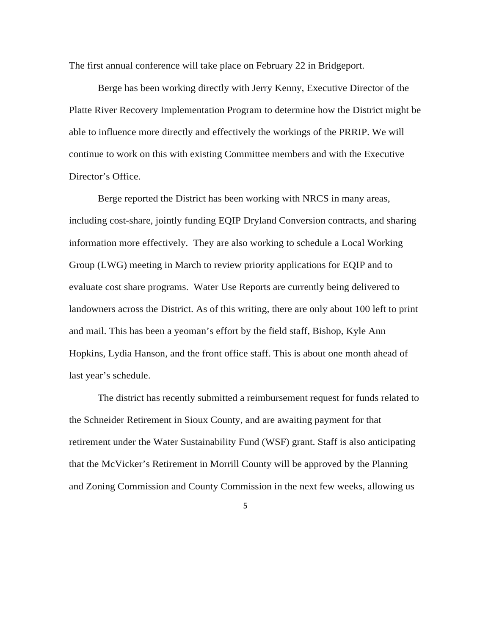The first annual conference will take place on February 22 in Bridgeport.

Berge has been working directly with Jerry Kenny, Executive Director of the Platte River Recovery Implementation Program to determine how the District might be able to influence more directly and effectively the workings of the PRRIP. We will continue to work on this with existing Committee members and with the Executive Director's Office.

Berge reported the District has been working with NRCS in many areas, including cost-share, jointly funding EQIP Dryland Conversion contracts, and sharing information more effectively. They are also working to schedule a Local Working Group (LWG) meeting in March to review priority applications for EQIP and to evaluate cost share programs. Water Use Reports are currently being delivered to landowners across the District. As of this writing, there are only about 100 left to print and mail. This has been a yeoman's effort by the field staff, Bishop, Kyle Ann Hopkins, Lydia Hanson, and the front office staff. This is about one month ahead of last year's schedule.

The district has recently submitted a reimbursement request for funds related to the Schneider Retirement in Sioux County, and are awaiting payment for that retirement under the Water Sustainability Fund (WSF) grant. Staff is also anticipating that the McVicker's Retirement in Morrill County will be approved by the Planning and Zoning Commission and County Commission in the next few weeks, allowing us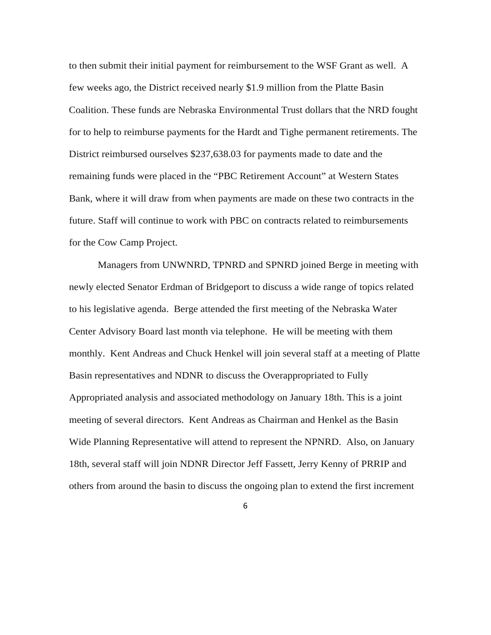to then submit their initial payment for reimbursement to the WSF Grant as well. A few weeks ago, the District received nearly \$1.9 million from the Platte Basin Coalition. These funds are Nebraska Environmental Trust dollars that the NRD fought for to help to reimburse payments for the Hardt and Tighe permanent retirements. The District reimbursed ourselves \$237,638.03 for payments made to date and the remaining funds were placed in the "PBC Retirement Account" at Western States Bank, where it will draw from when payments are made on these two contracts in the future. Staff will continue to work with PBC on contracts related to reimbursements for the Cow Camp Project.

Managers from UNWNRD, TPNRD and SPNRD joined Berge in meeting with newly elected Senator Erdman of Bridgeport to discuss a wide range of topics related to his legislative agenda. Berge attended the first meeting of the Nebraska Water Center Advisory Board last month via telephone. He will be meeting with them monthly. Kent Andreas and Chuck Henkel will join several staff at a meeting of Platte Basin representatives and NDNR to discuss the Overappropriated to Fully Appropriated analysis and associated methodology on January 18th. This is a joint meeting of several directors. Kent Andreas as Chairman and Henkel as the Basin Wide Planning Representative will attend to represent the NPNRD. Also, on January 18th, several staff will join NDNR Director Jeff Fassett, Jerry Kenny of PRRIP and others from around the basin to discuss the ongoing plan to extend the first increment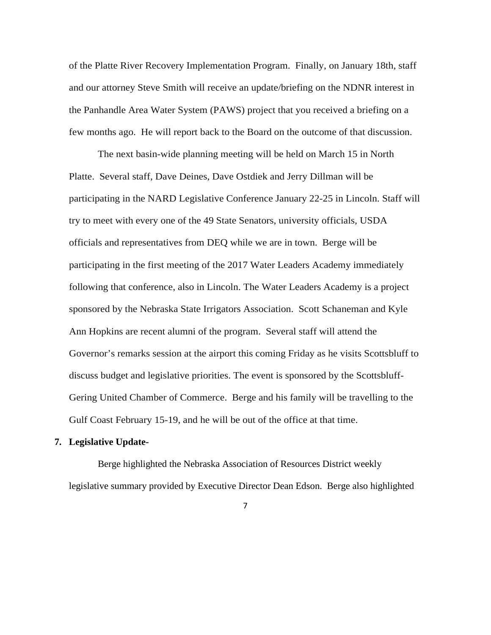of the Platte River Recovery Implementation Program. Finally, on January 18th, staff and our attorney Steve Smith will receive an update/briefing on the NDNR interest in the Panhandle Area Water System (PAWS) project that you received a briefing on a few months ago. He will report back to the Board on the outcome of that discussion.

The next basin-wide planning meeting will be held on March 15 in North Platte. Several staff, Dave Deines, Dave Ostdiek and Jerry Dillman will be participating in the NARD Legislative Conference January 22-25 in Lincoln. Staff will try to meet with every one of the 49 State Senators, university officials, USDA officials and representatives from DEQ while we are in town. Berge will be participating in the first meeting of the 2017 Water Leaders Academy immediately following that conference, also in Lincoln. The Water Leaders Academy is a project sponsored by the Nebraska State Irrigators Association. Scott Schaneman and Kyle Ann Hopkins are recent alumni of the program. Several staff will attend the Governor's remarks session at the airport this coming Friday as he visits Scottsbluff to discuss budget and legislative priorities. The event is sponsored by the Scottsbluff-Gering United Chamber of Commerce. Berge and his family will be travelling to the Gulf Coast February 15-19, and he will be out of the office at that time.

#### **7. Legislative Update-**

Berge highlighted the Nebraska Association of Resources District weekly legislative summary provided by Executive Director Dean Edson. Berge also highlighted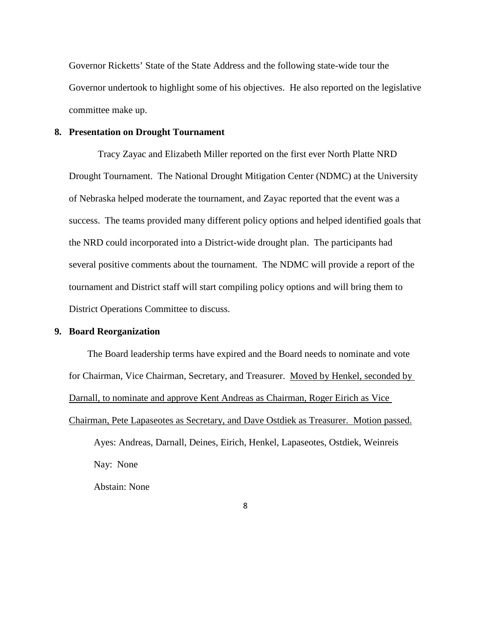Governor Ricketts' State of the State Address and the following state-wide tour the Governor undertook to highlight some of his objectives. He also reported on the legislative committee make up.

### **8. Presentation on Drought Tournament**

Tracy Zayac and Elizabeth Miller reported on the first ever North Platte NRD Drought Tournament. The National Drought Mitigation Center (NDMC) at the University of Nebraska helped moderate the tournament, and Zayac reported that the event was a success. The teams provided many different policy options and helped identified goals that the NRD could incorporated into a District-wide drought plan. The participants had several positive comments about the tournament. The NDMC will provide a report of the tournament and District staff will start compiling policy options and will bring them to District Operations Committee to discuss.

## **9. Board Reorganization**

The Board leadership terms have expired and the Board needs to nominate and vote for Chairman, Vice Chairman, Secretary, and Treasurer. Moved by Henkel, seconded by Darnall, to nominate and approve Kent Andreas as Chairman, Roger Eirich as Vice Chairman, Pete Lapaseotes as Secretary, and Dave Ostdiek as Treasurer. Motion passed. Ayes: Andreas, Darnall, Deines, Eirich, Henkel, Lapaseotes, Ostdiek, Weinreis Nay: None Abstain: None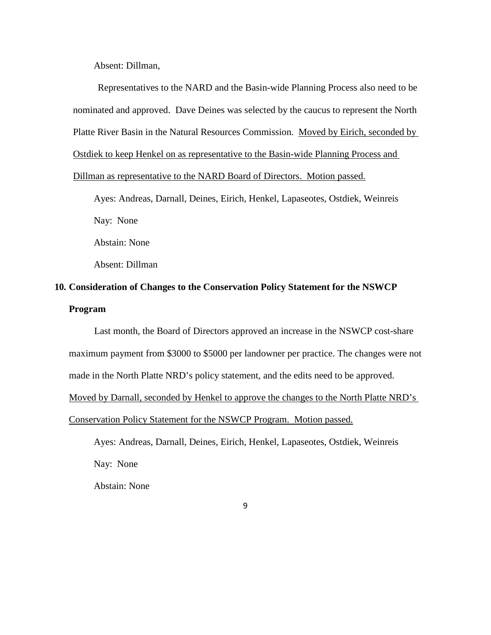Absent: Dillman,

Representatives to the NARD and the Basin-wide Planning Process also need to be nominated and approved. Dave Deines was selected by the caucus to represent the North Platte River Basin in the Natural Resources Commission. Moved by Eirich, seconded by Ostdiek to keep Henkel on as representative to the Basin-wide Planning Process and

Dillman as representative to the NARD Board of Directors. Motion passed.

Ayes: Andreas, Darnall, Deines, Eirich, Henkel, Lapaseotes, Ostdiek, Weinreis

Nay: None

Abstain: None

Absent: Dillman

# **10. Consideration of Changes to the Conservation Policy Statement for the NSWCP Program**

Last month, the Board of Directors approved an increase in the NSWCP cost-share maximum payment from \$3000 to \$5000 per landowner per practice. The changes were not made in the North Platte NRD's policy statement, and the edits need to be approved. Moved by Darnall, seconded by Henkel to approve the changes to the North Platte NRD's Conservation Policy Statement for the NSWCP Program. Motion passed.

Ayes: Andreas, Darnall, Deines, Eirich, Henkel, Lapaseotes, Ostdiek, Weinreis Nay: None Abstain: None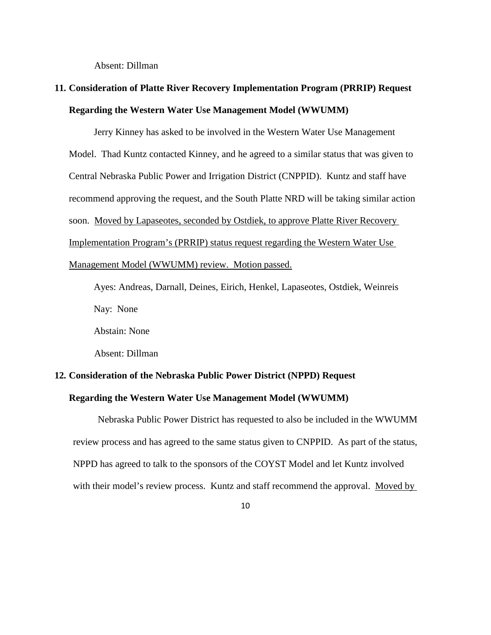Absent: Dillman

# **11. Consideration of Platte River Recovery Implementation Program (PRRIP) Request Regarding the Western Water Use Management Model (WWUMM)**

Jerry Kinney has asked to be involved in the Western Water Use Management Model. Thad Kuntz contacted Kinney, and he agreed to a similar status that was given to Central Nebraska Public Power and Irrigation District (CNPPID). Kuntz and staff have recommend approving the request, and the South Platte NRD will be taking similar action soon. Moved by Lapaseotes, seconded by Ostdiek, to approve Platte River Recovery Implementation Program's (PRRIP) status request regarding the Western Water Use Management Model (WWUMM) review. Motion passed.

Ayes: Andreas, Darnall, Deines, Eirich, Henkel, Lapaseotes, Ostdiek, Weinreis Nay: None

Abstain: None

Absent: Dillman

# **12. Consideration of the Nebraska Public Power District (NPPD) Request**

### **Regarding the Western Water Use Management Model (WWUMM)**

Nebraska Public Power District has requested to also be included in the WWUMM review process and has agreed to the same status given to CNPPID. As part of the status, NPPD has agreed to talk to the sponsors of the COYST Model and let Kuntz involved with their model's review process. Kuntz and staff recommend the approval. Moved by